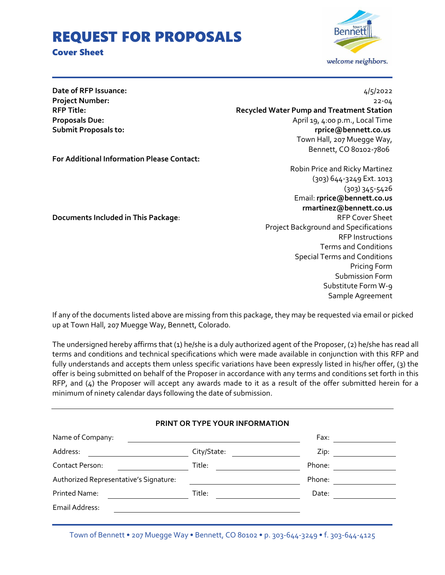# REQUEST FOR PROPOSALS

# Cover Sheet



**Date of RFP Issuance:** 4/5/2022

**Project Number:** 22-04 **RFP Title: Recycled Water Pump and Treatment Station Proposals Due:** April 19, 4:00 p.m., Local Time **Submit Proposals to: rprice@bennett.co.us**  Town Hall, 207 Muegge Way, Bennett, CO 80102-7806

**For Additional Information Please Contact:**

Robin Price and Ricky Martinez (303) 644-3249 Ext. 1013 (303) 345-5426 Email: **rprice@bennett.co.us rmartinez@bennett.co.us Documents Included in This Package:**  $\qquad \qquad$  RFP Cover Sheet Project Background and Specifications RFP Instructions Terms and Conditions Special Terms and Conditions Pricing Form Submission Form Substitute Form W-9 Sample Agreement

If any of the documents listed above are missing from this package, they may be requested via email or picked up at Town Hall, 207 Muegge Way, Bennett, Colorado.

The undersigned hereby affirms that (1) he/she is a duly authorized agent of the Proposer, (2) he/she has read all terms and conditions and technical specifications which were made available in conjunction with this RFP and fully understands and accepts them unless specific variations have been expressly listed in his/her offer, (3) the offer is being submitted on behalf of the Proposer in accordance with any terms and conditions set forth in this RFP, and (4) the Proposer will accept any awards made to it as a result of the offer submitted herein for a minimum of ninety calendar days following the date of submission.

| PRINT OR TYPE YOUR INFORMATION |          |
|--------------------------------|----------|
|                                | Fax: Fax |
| City/State:                    | Zip:     |
| Title:                         | Phone:   |
|                                | Phone:   |
| Title:                         | Date:    |
|                                |          |
|                                |          |

Town of Bennett • 207 Muegge Way • Bennett, CO 80102 • p. 303-644-3249 • f. 303-644-4125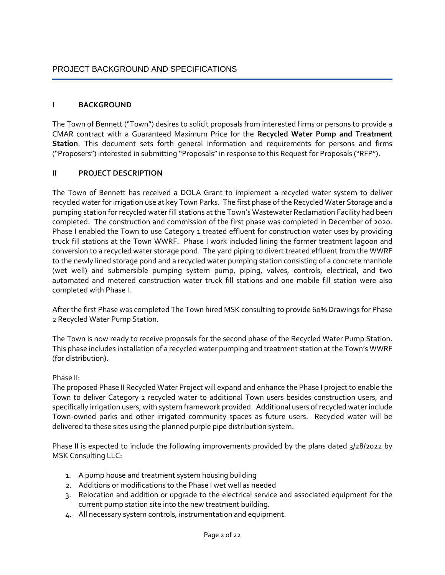# PROJECT BACKGROUND AND SPECIFICATIONS

# **I BACKGROUND**

The Town of Bennett ("Town") desires to solicit proposals from interested firms or persons to provide a CMAR contract with a Guaranteed Maximum Price for the **Recycled Water Pump and Treatment Station**. This document sets forth general information and requirements for persons and firms ("Proposers") interested in submitting "Proposals" in response to this Request for Proposals ("RFP").

# **II PROJECT DESCRIPTION**

The Town of Bennett has received a DOLA Grant to implement a recycled water system to deliver recycled water for irrigation use at key Town Parks. The first phase of the Recycled Water Storage and a pumping station for recycled water fill stations at the Town's Wastewater Reclamation Facility had been completed. The construction and commission of the first phase was completed in December of 2020. Phase I enabled the Town to use Category 1 treated effluent for construction water uses by providing truck fill stations at the Town WWRF. Phase I work included lining the former treatment lagoon and conversion to a recycled water storage pond. The yard piping to divert treated effluent from the WWRF to the newly lined storage pond and a recycled water pumping station consisting of a concrete manhole (wet well) and submersible pumping system pump, piping, valves, controls, electrical, and two automated and metered construction water truck fill stations and one mobile fill station were also completed with Phase I.

After the first Phase was completed The Town hired MSK consulting to provide 60% Drawings for Phase 2 Recycled Water Pump Station.

The Town is now ready to receive proposals for the second phase of the Recycled Water Pump Station. This phase includes installation of a recycled water pumping and treatment station at the Town's WWRF (for distribution).

# Phase II:

The proposed Phase II Recycled Water Project will expand and enhance the Phase I project to enable the Town to deliver Category 2 recycled water to additional Town users besides construction users, and specifically irrigation users, with system framework provided. Additional users of recycled water include Town-owned parks and other irrigated community spaces as future users. Recycled water will be delivered to these sites using the planned purple pipe distribution system.

Phase II is expected to include the following improvements provided by the plans dated 3/28/2022 by MSK Consulting LLC:

- 1. A pump house and treatment system housing building
- 2. Additions or modifications to the Phase I wet well as needed
- 3. Relocation and addition or upgrade to the electrical service and associated equipment for the current pump station site into the new treatment building.
- 4. All necessary system controls, instrumentation and equipment.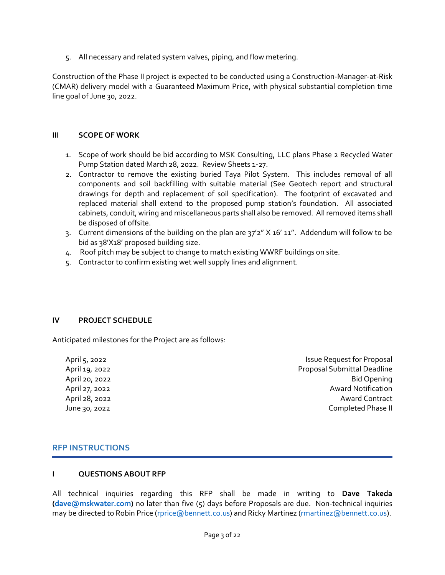5. All necessary and related system valves, piping, and flow metering.

Construction of the Phase II project is expected to be conducted using a Construction-Manager-at-Risk (CMAR) delivery model with a Guaranteed Maximum Price, with physical substantial completion time line goal of June 30, 2022.

# **III SCOPE OF WORK**

- 1. Scope of work should be bid according to MSK Consulting, LLC plans Phase 2 Recycled Water Pump Station dated March 28, 2022. Review Sheets 1-27.
- 2. Contractor to remove the existing buried Taya Pilot System. This includes removal of all components and soil backfilling with suitable material (See Geotech report and structural drawings for depth and replacement of soil specification). The footprint of excavated and replaced material shall extend to the proposed pump station's foundation. All associated cabinets, conduit, wiring and miscellaneous parts shall also be removed. All removed items shall be disposed of offsite.
- 3. Current dimensions of the building on the plan are 37'2" X 16' 11". Addendum will follow to be bid as 38'X18' proposed building size.
- 4. Roof pitch may be subject to change to match existing WWRF buildings on site.
- 5. Contractor to confirm existing wet well supply lines and alignment.

# **IV PROJECT SCHEDULE**

Anticipated milestones for the Project are as follows:

April 5, 2022 **Issue Request for Proposal** April 19, 2022 Proposal Submittal Deadline April 20, 2022 **Bid Opening** April 27, 2022 Award Notification April 28, 2022 **Award Contract Award Contract Award Contract** June 30, 2022 Completed Phase II

# **RFP INSTRUCTIONS**

# **I QUESTIONS ABOUT RFP**

All technical inquiries regarding this RFP shall be made in writing to **Dave Takeda [\(dave@mskwater.com\)](mailto:dave@mskwater.com)** no later than five (5) days before Proposals are due. Non-technical inquiries may be directed to Robin Price [\(rprice@bennett.co.us\)](mailto:rprice@bennett.co.us) and Ricky Martinez [\(rmartinez@bennett.co.us\)](mailto:rmartinez@bennett.co.us).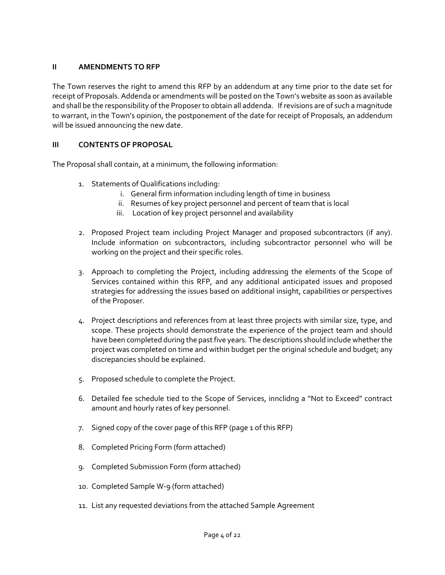# **II AMENDMENTS TO RFP**

The Town reserves the right to amend this RFP by an addendum at any time prior to the date set for receipt of Proposals. Addenda or amendments will be posted on the Town's website as soon as available and shall be the responsibility of the Proposer to obtain all addenda. If revisions are of such a magnitude to warrant, in the Town's opinion, the postponement of the date for receipt of Proposals, an addendum will be issued announcing the new date.

# **III CONTENTS OF PROPOSAL**

The Proposal shall contain, at a minimum, the following information:

- 1. Statements of Qualifications including:
	- i. General firm information including length of time in business
	- ii. Resumes of key project personnel and percent of team that is local
	- iii. Location of key project personnel and availability
- 2. Proposed Project team including Project Manager and proposed subcontractors (if any). Include information on subcontractors, including subcontractor personnel who will be working on the project and their specific roles.
- 3. Approach to completing the Project, including addressing the elements of the Scope of Services contained within this RFP, and any additional anticipated issues and proposed strategies for addressing the issues based on additional insight, capabilities or perspectives of the Proposer.
- 4. Project descriptions and references from at least three projects with similar size, type, and scope. These projects should demonstrate the experience of the project team and should have been completed during the past five years. The descriptions should include whether the project was completed on time and within budget per the original schedule and budget; any discrepancies should be explained.
- 5. Proposed schedule to complete the Project.
- 6. Detailed fee schedule tied to the Scope of Services, innclidng a "Not to Exceed" contract amount and hourly rates of key personnel.
- 7. Signed copy of the cover page of this RFP (page 1 of this RFP)
- 8. Completed Pricing Form (form attached)
- 9. Completed Submission Form (form attached)
- 10. Completed Sample W-9 (form attached)
- 11. List any requested deviations from the attached Sample Agreement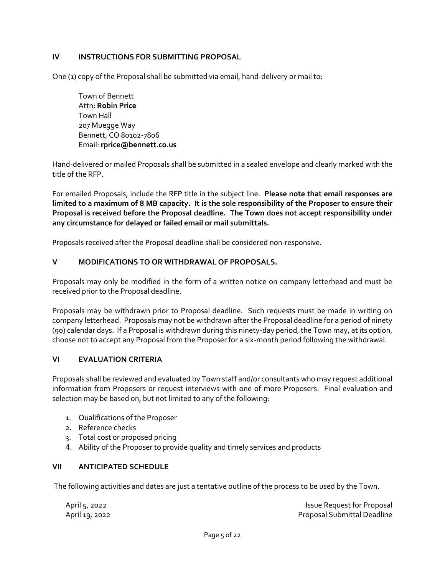# **IV INSTRUCTIONS FOR SUBMITTING PROPOSAL**

One (1) copy of the Proposal shall be submitted via email, hand-delivery or mail to:

Town of Bennett Attn: **Robin Price** Town Hall 207 Muegge Way Bennett, CO 80102-7806 Email: **rprice@bennett.co.us**

Hand-delivered or mailed Proposals shall be submitted in a sealed envelope and clearly marked with the title of the RFP.

For emailed Proposals, include the RFP title in the subject line. **Please note that email responses are limited to a maximum of 8 MB capacity. It is the sole responsibility of the Proposer to ensure their Proposal is received before the Proposal deadline. The Town does not accept responsibility under any circumstance for delayed or failed email or mail submittals.**

Proposals received after the Proposal deadline shall be considered non-responsive.

# **V MODIFICATIONS TO OR WITHDRAWAL OF PROPOSALS.**

Proposals may only be modified in the form of a written notice on company letterhead and must be received prior to the Proposal deadline.

Proposals may be withdrawn prior to Proposal deadline. Such requests must be made in writing on company letterhead. Proposals may not be withdrawn after the Proposal deadline for a period of ninety (90) calendar days. If a Proposal is withdrawn during this ninety-day period, the Town may, at its option, choose not to accept any Proposal from the Proposer for a six-month period following the withdrawal.

# **VI EVALUATION CRITERIA**

Proposals shall be reviewed and evaluated by Town staff and/or consultants who may request additional information from Proposers or request interviews with one of more Proposers. Final evaluation and selection may be based on, but not limited to any of the following:

- 1. Qualifications of the Proposer
- 2. Reference checks
- 3. Total cost or proposed pricing
- 4. Ability of the Proposer to provide quality and timely services and products

# **VII ANTICIPATED SCHEDULE**

The following activities and dates are just a tentative outline of the process to be used by the Town.

| April 5, 2022  | Issue Request for Proposal         |
|----------------|------------------------------------|
| April 19, 2022 | <b>Proposal Submittal Deadline</b> |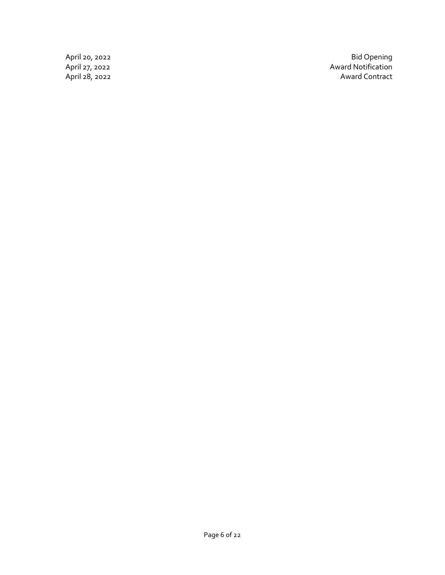April 20, 2022 Bid Opening April 27, 2022 Award Notification April 20, 2022<br>
April 27, 2022<br>
Award Notification<br>
April 28, 2022<br>
Award Contract<br>
Award Contract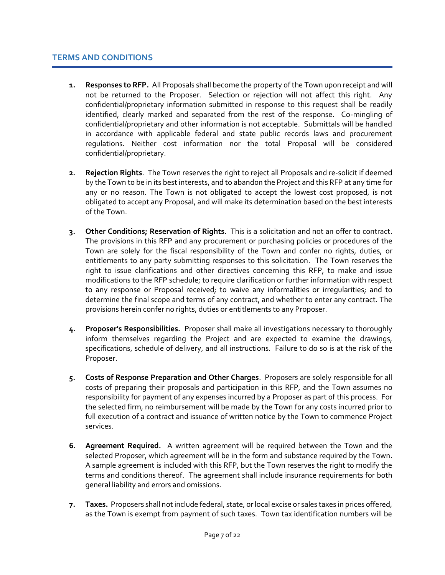- **1. Responses to RFP.** All Proposals shall become the property of the Town upon receipt and will not be returned to the Proposer. Selection or rejection will not affect this right. Any confidential/proprietary information submitted in response to this request shall be readily identified, clearly marked and separated from the rest of the response. Co-mingling of confidential/proprietary and other information is not acceptable. Submittals will be handled in accordance with applicable federal and state public records laws and procurement regulations. Neither cost information nor the total Proposal will be considered confidential/proprietary.
- **2. Rejection Rights**. The Town reserves the right to reject all Proposals and re-solicit if deemed by the Town to be in its best interests, and to abandon the Project and this RFP at any time for any or no reason. The Town is not obligated to accept the lowest cost proposed, is not obligated to accept any Proposal, and will make its determination based on the best interests of the Town.
- **3. Other Conditions; Reservation of Rights**. This is a solicitation and not an offer to contract. The provisions in this RFP and any procurement or purchasing policies or procedures of the Town are solely for the fiscal responsibility of the Town and confer no rights, duties, or entitlements to any party submitting responses to this solicitation. The Town reserves the right to issue clarifications and other directives concerning this RFP, to make and issue modifications to the RFP schedule; to require clarification or further information with respect to any response or Proposal received; to waive any informalities or irregularities; and to determine the final scope and terms of any contract, and whether to enter any contract. The provisions herein confer no rights, duties or entitlements to any Proposer.
- **4. Proposer's Responsibilities.** Proposer shall make all investigations necessary to thoroughly inform themselves regarding the Project and are expected to examine the drawings, specifications, schedule of delivery, and all instructions. Failure to do so is at the risk of the Proposer.
- **5. Costs of Response Preparation and Other Charges**. Proposers are solely responsible for all costs of preparing their proposals and participation in this RFP, and the Town assumes no responsibility for payment of any expenses incurred by a Proposer as part of this process. For the selected firm, no reimbursement will be made by the Town for any costs incurred prior to full execution of a contract and issuance of written notice by the Town to commence Project services.
- **6. Agreement Required.** A written agreement will be required between the Town and the selected Proposer, which agreement will be in the form and substance required by the Town. A sample agreement is included with this RFP, but the Town reserves the right to modify the terms and conditions thereof. The agreement shall include insurance requirements for both general liability and errors and omissions.
- **7. Taxes.** Proposers shall not include federal, state, or local excise or sales taxes in prices offered, as the Town is exempt from payment of such taxes. Town tax identification numbers will be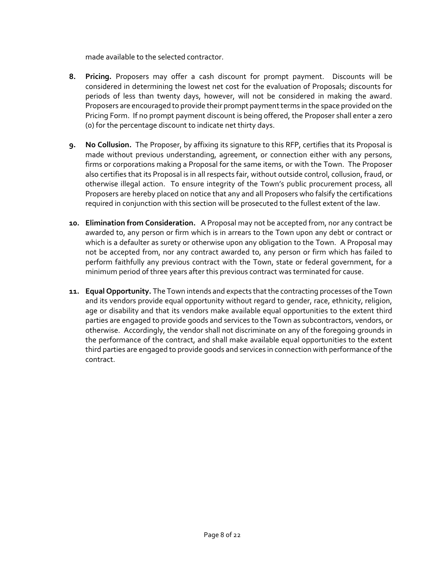made available to the selected contractor.

- **8. Pricing.** Proposers may offer a cash discount for prompt payment. Discounts will be considered in determining the lowest net cost for the evaluation of Proposals; discounts for periods of less than twenty days, however, will not be considered in making the award. Proposers are encouraged to provide their prompt payment terms in the space provided on the Pricing Form. If no prompt payment discount is being offered, the Proposer shall enter a zero (0) for the percentage discount to indicate net thirty days.
- **9. No Collusion.** The Proposer, by affixing its signature to this RFP, certifies that its Proposal is made without previous understanding, agreement, or connection either with any persons, firms or corporations making a Proposal for the same items, or with the Town. The Proposer also certifies that its Proposal is in all respects fair, without outside control, collusion, fraud, or otherwise illegal action. To ensure integrity of the Town's public procurement process, all Proposers are hereby placed on notice that any and all Proposers who falsify the certifications required in conjunction with this section will be prosecuted to the fullest extent of the law.
- **10. Elimination from Consideration.** A Proposal may not be accepted from, nor any contract be awarded to, any person or firm which is in arrears to the Town upon any debt or contract or which is a defaulter as surety or otherwise upon any obligation to the Town.A Proposal may not be accepted from, nor any contract awarded to, any person or firm which has failed to perform faithfully any previous contract with the Town, state or federal government, for a minimum period of three years after this previous contract was terminated for cause.
- **11. Equal Opportunity.** The Town intends and expects that the contracting processes of the Town and its vendors provide equal opportunity without regard to gender, race, ethnicity, religion, age or disability and that its vendors make available equal opportunities to the extent third parties are engaged to provide goods and services to the Town as subcontractors, vendors, or otherwise. Accordingly, the vendor shall not discriminate on any of the foregoing grounds in the performance of the contract, and shall make available equal opportunities to the extent third parties are engaged to provide goods and services in connection with performance of the contract.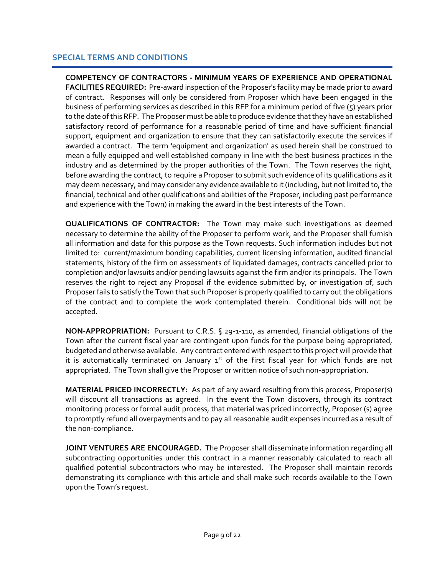# **SPECIAL TERMS AND CONDITIONS**

**COMPETENCY OF CONTRACTORS - MINIMUM YEARS OF EXPERIENCE AND OPERATIONAL FACILITIES REQUIRED:** Pre-award inspection of the Proposer's facility may be made prior to award of contract. Responses will only be considered from Proposer which have been engaged in the business of performing services as described in this RFP for a minimum period of five (5) years prior to the date of this RFP. The Proposer must be able to produce evidence that they have an established satisfactory record of performance for a reasonable period of time and have sufficient financial support, equipment and organization to ensure that they can satisfactorily execute the services if awarded a contract. The term 'equipment and organization' as used herein shall be construed to mean a fully equipped and well established company in line with the best business practices in the industry and as determined by the proper authorities of the Town. The Town reserves the right, before awarding the contract, to require a Proposer to submit such evidence of its qualifications as it may deem necessary, and may consider any evidence available to it (including, but not limited to, the financial, technical and other qualifications and abilities of the Proposer, including past performance and experience with the Town) in making the award in the best interests of the Town.

**QUALIFICATIONS OF CONTRACTOR:** The Town may make such investigations as deemed necessary to determine the ability of the Proposer to perform work, and the Proposer shall furnish all information and data for this purpose as the Town requests. Such information includes but not limited to: current/maximum bonding capabilities, current licensing information, audited financial statements, history of the firm on assessments of liquidated damages, contracts cancelled prior to completion and/or lawsuits and/or pending lawsuits against the firm and/or its principals. The Town reserves the right to reject any Proposal if the evidence submitted by, or investigation of, such Proposer fails to satisfy the Town that such Proposer is properly qualified to carry out the obligations of the contract and to complete the work contemplated therein. Conditional bids will not be accepted.

**NON-APPROPRIATION:** Pursuant to C.R.S. § 29-1-110, as amended, financial obligations of the Town after the current fiscal year are contingent upon funds for the purpose being appropriated, budgeted and otherwise available. Any contract entered with respect to this project will provide that it is automatically terminated on January  $1<sup>st</sup>$  of the first fiscal year for which funds are not appropriated. The Town shall give the Proposer or written notice of such non-appropriation.

**MATERIAL PRICED INCORRECTLY:** As part of any award resulting from this process, Proposer(s) will discount all transactions as agreed. In the event the Town discovers, through its contract monitoring process or formal audit process, that material was priced incorrectly, Proposer (s) agree to promptly refund all overpayments and to pay all reasonable audit expenses incurred as a result of the non-compliance.

**JOINT VENTURES ARE ENCOURAGED.** The Proposer shall disseminate information regarding all subcontracting opportunities under this contract in a manner reasonably calculated to reach all qualified potential subcontractors who may be interested. The Proposer shall maintain records demonstrating its compliance with this article and shall make such records available to the Town upon the Town's request.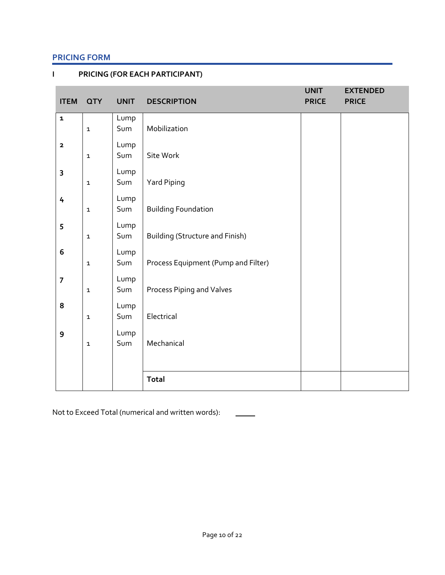# **PRICING FORM**

**I PRICING (FOR EACH PARTICIPANT)**

| <b>ITEM</b>             | <b>QTY</b>   | <b>UNIT</b> | <b>DESCRIPTION</b>                     | <b>UNIT</b><br><b>PRICE</b> | <b>EXTENDED</b><br><b>PRICE</b> |
|-------------------------|--------------|-------------|----------------------------------------|-----------------------------|---------------------------------|
| $\mathbf{1}$            | $\mathbf 1$  | Lump<br>Sum | Mobilization                           |                             |                                 |
| $\overline{\mathbf{2}}$ | $\mathbf 1$  | Lump<br>Sum | Site Work                              |                             |                                 |
| $\overline{\mathbf{3}}$ | $\mathbf 1$  | Lump<br>Sum | Yard Piping                            |                             |                                 |
| 4                       | $\mathbf 1$  | Lump<br>Sum | <b>Building Foundation</b>             |                             |                                 |
| 5                       | $\mathbf 1$  | Lump<br>Sum | <b>Building (Structure and Finish)</b> |                             |                                 |
| $6\,$                   | $\mathbf 1$  | Lump<br>Sum | Process Equipment (Pump and Filter)    |                             |                                 |
| $\overline{7}$          | $\mathbf 1$  | Lump<br>Sum | Process Piping and Valves              |                             |                                 |
| 8                       | $\mathbf{1}$ | Lump<br>Sum | Electrical                             |                             |                                 |
| 9                       | $\mathbf{1}$ | Lump<br>Sum | Mechanical                             |                             |                                 |
|                         |              |             |                                        |                             |                                 |
|                         |              |             | <b>Total</b>                           |                             |                                 |

Not to Exceed Total (numerical and written words):

 $\overline{\phantom{a}}$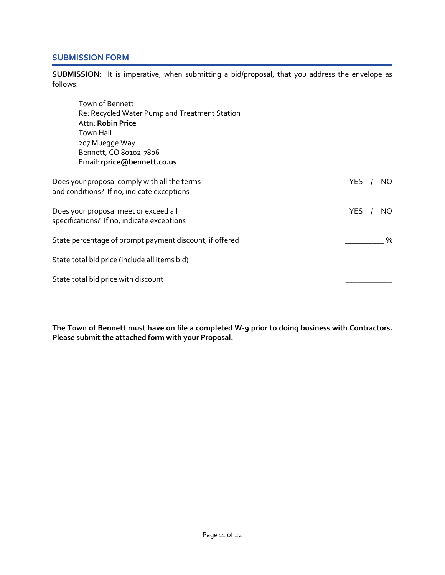# **SUBMISSION FORM**

**SUBMISSION:** It is imperative, when submitting a bid/proposal, that you address the envelope as follows:

| Town of Bennett                                                                            |         |     |
|--------------------------------------------------------------------------------------------|---------|-----|
| Re: Recycled Water Pump and Treatment Station                                              |         |     |
| Attn: Robin Price                                                                          |         |     |
| <b>Town Hall</b>                                                                           |         |     |
| 207 Muegge Way                                                                             |         |     |
| Bennett, CO 80102-7806                                                                     |         |     |
| Email: rprice@bennett.co.us                                                                |         |     |
| Does your proposal comply with all the terms<br>and conditions? If no, indicate exceptions | YES $/$ | NO. |
| Does your proposal meet or exceed all<br>specifications? If no, indicate exceptions        | YES $/$ | NO. |
| State percentage of prompt payment discount, if offered                                    |         | %   |
| State total bid price (include all items bid)                                              |         |     |
| State total bid price with discount                                                        |         |     |

**The Town of Bennett must have on file a completed W-9 prior to doing business with Contractors. Please submit the attached form with your Proposal.**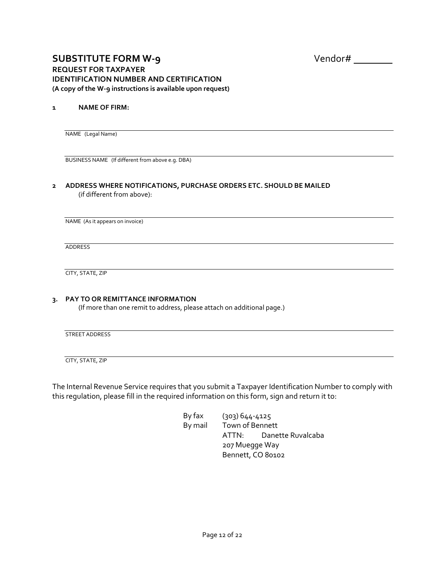# **SUBSTITUTE FORM W-9** Vendor# **REQUEST FOR TAXPAYER IDENTIFICATION NUMBER AND CERTIFICATION (A copy of the W-9 instructions is available upon request)**

#### **1 NAME OF FIRM:**

NAME (Legal Name)

BUSINESS NAME (If different from above e.g. DBA)

#### **2 ADDRESS WHERE NOTIFICATIONS, PURCHASE ORDERS ETC. SHOULD BE MAILED** (if different from above):

NAME (As it appears on invoice)

ADDRESS

CITY, STATE, ZIP

#### **3. PAY TO OR REMITTANCE INFORMATION**

(If more than one remit to address, please attach on additional page.)

STREET ADDRESS

CITY, STATE, ZIP

The Internal Revenue Service requires that you submit a Taxpayer Identification Number to comply with this regulation, please fill in the required information on this form, sign and return it to:

> By fax (303) 644-4125 By mail Town of Bennett ATTN: Danette Ruvalcaba 207 Muegge Way Bennett, CO 80102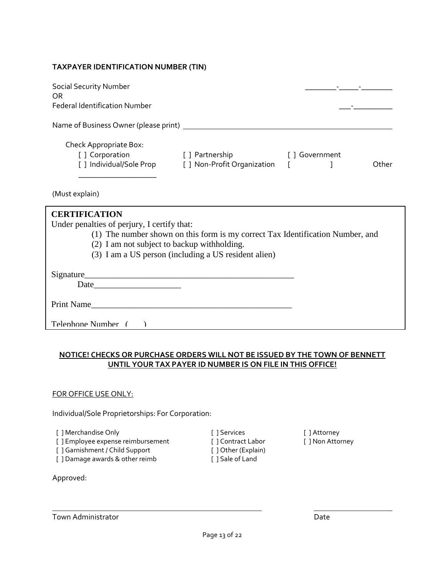#### **TAXPAYER IDENTIFICATION NUMBER (TIN)**

| <b>Social Security Number</b><br>OR.<br><b>Federal Identification Number</b> |                             |                |       |
|------------------------------------------------------------------------------|-----------------------------|----------------|-------|
| Name of Business Owner (please print)                                        |                             |                |       |
| Check Appropriate Box:                                                       |                             |                |       |
| [ ] Corporation                                                              | [ ] Partnership             | [ ] Government |       |
| [ ] Individual/Sole Prop                                                     | [ ] Non-Profit Organization |                | Other |
|                                                                              |                             |                |       |

(Must explain)

| <b>CERTIFICATION</b><br>Under penalties of perjury, I certify that:            |
|--------------------------------------------------------------------------------|
| (1) The number shown on this form is my correct Tax Identification Number, and |
| (2) I am not subject to backup withholding.                                    |
| (3) I am a US person (including a US resident alien)                           |
| Signature<br>Date<br>the contract of the contract of the contract of           |
| Print Name                                                                     |
| Telephone Number (                                                             |

### **NOTICE! CHECKS OR PURCHASE ORDERS WILL NOT BE ISSUED BY THE TOWN OF BENNETT UNTIL YOUR TAX PAYER ID NUMBER IS ON FILE IN THIS OFFICE!**

#### FOR OFFICE USE ONLY:

Individual/Sole Proprietorships: For Corporation:

[ ] Merchandise Only [ ] Services [ ] Attorney

[ ] Employee expense reimbursement [ ] Contract Labor [ ] Non Attorney

[ ] Garnishment / Child Support [ ] Other (Explain)

[ ] Damage awards & other reimb [ ] Sale of Land

Approved: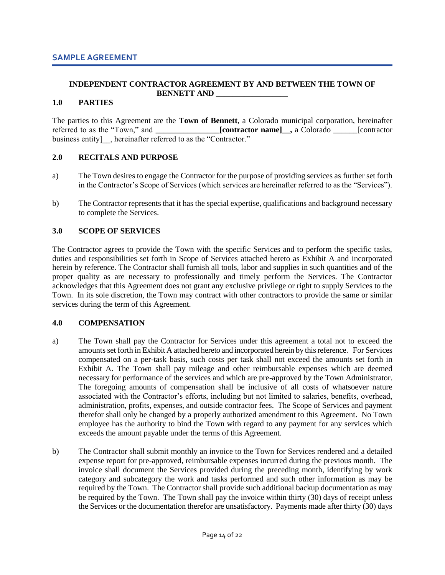#### **INDEPENDENT CONTRACTOR AGREEMENT BY AND BETWEEN THE TOWN OF BENNETT AND \_\_\_\_\_\_\_\_\_\_\_\_\_\_\_\_\_\_**

#### **1.0 PARTIES**

The parties to this Agreement are the **Town of Bennett**, a Colorado municipal corporation, hereinafter referred to as the "Town," and **contractor name]**, a Colorado **and a** [contractor business entity [1], hereinafter referred to as the "Contractor."

#### **2.0 RECITALS AND PURPOSE**

- a) The Town desires to engage the Contractor for the purpose of providing services as further set forth in the Contractor's Scope of Services (which services are hereinafter referred to as the "Services").
- b) The Contractor represents that it has the special expertise, qualifications and background necessary to complete the Services.

#### **3.0 SCOPE OF SERVICES**

The Contractor agrees to provide the Town with the specific Services and to perform the specific tasks, duties and responsibilities set forth in Scope of Services attached hereto as Exhibit A and incorporated herein by reference. The Contractor shall furnish all tools, labor and supplies in such quantities and of the proper quality as are necessary to professionally and timely perform the Services. The Contractor acknowledges that this Agreement does not grant any exclusive privilege or right to supply Services to the Town. In its sole discretion, the Town may contract with other contractors to provide the same or similar services during the term of this Agreement.

#### **4.0 COMPENSATION**

- a) The Town shall pay the Contractor for Services under this agreement a total not to exceed the amounts set forth in Exhibit A attached hereto and incorporated herein by this reference. For Services compensated on a per-task basis, such costs per task shall not exceed the amounts set forth in Exhibit A. The Town shall pay mileage and other reimbursable expenses which are deemed necessary for performance of the services and which are pre-approved by the Town Administrator. The foregoing amounts of compensation shall be inclusive of all costs of whatsoever nature associated with the Contractor's efforts, including but not limited to salaries, benefits, overhead, administration, profits, expenses, and outside contractor fees. The Scope of Services and payment therefor shall only be changed by a properly authorized amendment to this Agreement. No Town employee has the authority to bind the Town with regard to any payment for any services which exceeds the amount payable under the terms of this Agreement.
- b) The Contractor shall submit monthly an invoice to the Town for Services rendered and a detailed expense report for pre-approved, reimbursable expenses incurred during the previous month. The invoice shall document the Services provided during the preceding month, identifying by work category and subcategory the work and tasks performed and such other information as may be required by the Town. The Contractor shall provide such additional backup documentation as may be required by the Town. The Town shall pay the invoice within thirty (30) days of receipt unless the Services or the documentation therefor are unsatisfactory. Payments made after thirty (30) days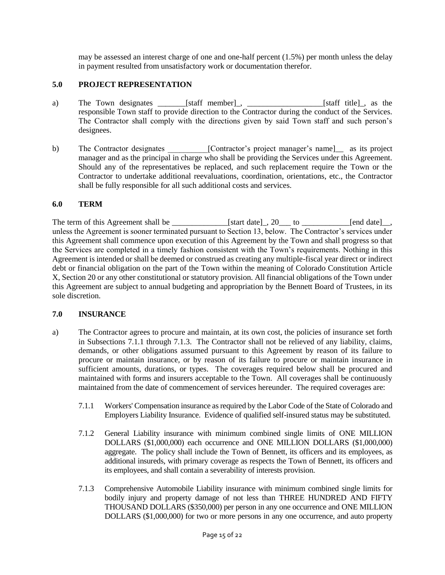may be assessed an interest charge of one and one-half percent (1.5%) per month unless the delay in payment resulted from unsatisfactory work or documentation therefor.

# **5.0 PROJECT REPRESENTATION**

- a) The Town designates \_\_\_\_\_\_\_[staff member]\_, \_\_\_\_\_\_\_\_\_\_\_\_\_\_\_\_\_\_\_[staff title]\_, as the responsible Town staff to provide direction to the Contractor during the conduct of the Services. The Contractor shall comply with the directions given by said Town staff and such person's designees.
- b) The Contractor designates \_\_\_\_\_\_\_\_\_\_[Contractor's project manager's name]\_\_ as its project manager and as the principal in charge who shall be providing the Services under this Agreement. Should any of the representatives be replaced, and such replacement require the Town or the Contractor to undertake additional reevaluations, coordination, orientations, etc., the Contractor shall be fully responsible for all such additional costs and services.

# **6.0 TERM**

The term of this Agreement shall be \_\_\_\_\_\_\_\_\_\_\_\_\_\_\_\_[start date]\_, 20\_\_\_ to \_\_\_\_\_\_\_\_\_\_\_\_\_\_[end date]\_, unless the Agreement is sooner terminated pursuant to Section 13, below. The Contractor's services under this Agreement shall commence upon execution of this Agreement by the Town and shall progress so that the Services are completed in a timely fashion consistent with the Town's requirements. Nothing in this Agreement is intended or shall be deemed or construed as creating any multiple-fiscal year direct or indirect debt or financial obligation on the part of the Town within the meaning of Colorado Constitution Article X, Section 20 or any other constitutional or statutory provision. All financial obligations of the Town under this Agreement are subject to annual budgeting and appropriation by the Bennett Board of Trustees, in its sole discretion.

#### **7.0 INSURANCE**

- a) The Contractor agrees to procure and maintain, at its own cost, the policies of insurance set forth in Subsections 7.1.1 through 7.1.3. The Contractor shall not be relieved of any liability, claims, demands, or other obligations assumed pursuant to this Agreement by reason of its failure to procure or maintain insurance, or by reason of its failure to procure or maintain insurance in sufficient amounts, durations, or types. The coverages required below shall be procured and maintained with forms and insurers acceptable to the Town. All coverages shall be continuously maintained from the date of commencement of services hereunder. The required coverages are:
	- 7.1.1 Workers' Compensation insurance as required by the Labor Code of the State of Colorado and Employers Liability Insurance. Evidence of qualified self-insured status may be substituted.
	- 7.1.2 General Liability insurance with minimum combined single limits of ONE MILLION DOLLARS (\$1,000,000) each occurrence and ONE MILLION DOLLARS (\$1,000,000) aggregate. The policy shall include the Town of Bennett, its officers and its employees, as additional insureds, with primary coverage as respects the Town of Bennett, its officers and its employees, and shall contain a severability of interests provision.
	- 7.1.3 Comprehensive Automobile Liability insurance with minimum combined single limits for bodily injury and property damage of not less than THREE HUNDRED AND FIFTY THOUSAND DOLLARS (\$350,000) per person in any one occurrence and ONE MILLION DOLLARS (\$1,000,000) for two or more persons in any one occurrence, and auto property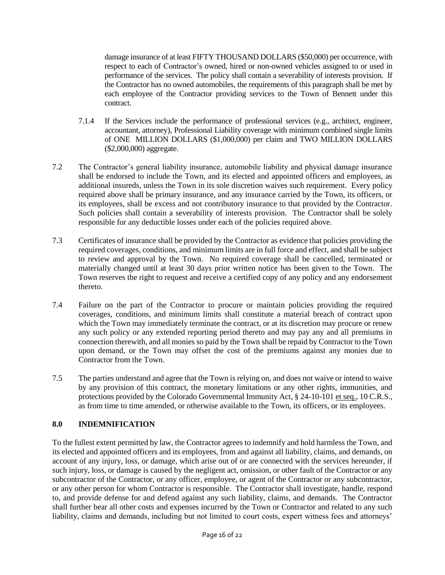damage insurance of at least FIFTY THOUSAND DOLLARS (\$50,000) per occurrence, with respect to each of Contractor's owned, hired or non-owned vehicles assigned to or used in performance of the services. The policy shall contain a severability of interests provision. If the Contractor has no owned automobiles, the requirements of this paragraph shall be met by each employee of the Contractor providing services to the Town of Bennett under this contract.

- 7.1.4 If the Services include the performance of professional services (e.g., architect, engineer, accountant, attorney), Professional Liability coverage with minimum combined single limits of ONE MILLION DOLLARS (\$1,000,000) per claim and TWO MILLION DOLLARS (\$2,000,000) aggregate.
- 7.2 The Contractor's general liability insurance, automobile liability and physical damage insurance shall be endorsed to include the Town, and its elected and appointed officers and employees, as additional insureds, unless the Town in its sole discretion waives such requirement. Every policy required above shall be primary insurance, and any insurance carried by the Town, its officers, or its employees, shall be excess and not contributory insurance to that provided by the Contractor. Such policies shall contain a severability of interests provision. The Contractor shall be solely responsible for any deductible losses under each of the policies required above.
- 7.3 Certificates of insurance shall be provided by the Contractor as evidence that policies providing the required coverages, conditions, and minimum limits are in full force and effect, and shall be subject to review and approval by the Town. No required coverage shall be cancelled, terminated or materially changed until at least 30 days prior written notice has been given to the Town. The Town reserves the right to request and receive a certified copy of any policy and any endorsement thereto.
- 7.4 Failure on the part of the Contractor to procure or maintain policies providing the required coverages, conditions, and minimum limits shall constitute a material breach of contract upon which the Town may immediately terminate the contract, or at its discretion may procure or renew any such policy or any extended reporting period thereto and may pay any and all premiums in connection therewith, and all monies so paid by the Town shall be repaid by Contractor to the Town upon demand, or the Town may offset the cost of the premiums against any monies due to Contractor from the Town.
- 7.5 The parties understand and agree that the Town is relying on, and does not waive or intend to waive by any provision of this contract, the monetary limitations or any other rights, immunities, and protections provided by the Colorado Governmental Immunity Act, § 24-10-101 et seq., 10 C.R.S., as from time to time amended, or otherwise available to the Town, its officers, or its employees.

# **8.0 INDEMNIFICATION**

To the fullest extent permitted by law, the Contractor agrees to indemnify and hold harmless the Town, and its elected and appointed officers and its employees, from and against all liability, claims, and demands, on account of any injury, loss, or damage, which arise out of or are connected with the services hereunder, if such injury, loss, or damage is caused by the negligent act, omission, or other fault of the Contractor or any subcontractor of the Contractor, or any officer, employee, or agent of the Contractor or any subcontractor, or any other person for whom Contractor is responsible. The Contractor shall investigate, handle, respond to, and provide defense for and defend against any such liability, claims, and demands. The Contractor shall further bear all other costs and expenses incurred by the Town or Contractor and related to any such liability, claims and demands, including but not limited to court costs, expert witness fees and attorneys'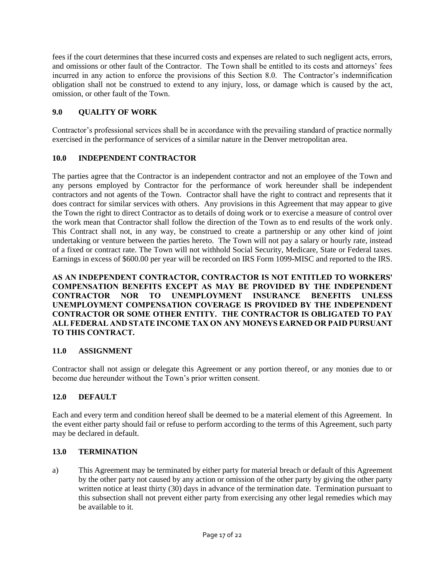fees if the court determines that these incurred costs and expenses are related to such negligent acts, errors, and omissions or other fault of the Contractor. The Town shall be entitled to its costs and attorneys' fees incurred in any action to enforce the provisions of this Section 8.0. The Contractor's indemnification obligation shall not be construed to extend to any injury, loss, or damage which is caused by the act, omission, or other fault of the Town.

# **9.0 QUALITY OF WORK**

Contractor's professional services shall be in accordance with the prevailing standard of practice normally exercised in the performance of services of a similar nature in the Denver metropolitan area.

# **10.0 INDEPENDENT CONTRACTOR**

The parties agree that the Contractor is an independent contractor and not an employee of the Town and any persons employed by Contractor for the performance of work hereunder shall be independent contractors and not agents of the Town. Contractor shall have the right to contract and represents that it does contract for similar services with others. Any provisions in this Agreement that may appear to give the Town the right to direct Contractor as to details of doing work or to exercise a measure of control over the work mean that Contractor shall follow the direction of the Town as to end results of the work only. This Contract shall not, in any way, be construed to create a partnership or any other kind of joint undertaking or venture between the parties hereto. The Town will not pay a salary or hourly rate, instead of a fixed or contract rate. The Town will not withhold Social Security, Medicare, State or Federal taxes. Earnings in excess of \$600.00 per year will be recorded on IRS Form 1099-MISC and reported to the IRS.

**AS AN INDEPENDENT CONTRACTOR, CONTRACTOR IS NOT ENTITLED TO WORKERS' COMPENSATION BENEFITS EXCEPT AS MAY BE PROVIDED BY THE INDEPENDENT CONTRACTOR NOR TO UNEMPLOYMENT INSURANCE BENEFITS UNLESS UNEMPLOYMENT COMPENSATION COVERAGE IS PROVIDED BY THE INDEPENDENT CONTRACTOR OR SOME OTHER ENTITY. THE CONTRACTOR IS OBLIGATED TO PAY ALL FEDERAL AND STATE INCOME TAX ON ANY MONEYS EARNED OR PAID PURSUANT TO THIS CONTRACT.**

# **11.0 ASSIGNMENT**

Contractor shall not assign or delegate this Agreement or any portion thereof, or any monies due to or become due hereunder without the Town's prior written consent.

# **12.0 DEFAULT**

Each and every term and condition hereof shall be deemed to be a material element of this Agreement. In the event either party should fail or refuse to perform according to the terms of this Agreement, such party may be declared in default.

# **13.0 TERMINATION**

a) This Agreement may be terminated by either party for material breach or default of this Agreement by the other party not caused by any action or omission of the other party by giving the other party written notice at least thirty (30) days in advance of the termination date. Termination pursuant to this subsection shall not prevent either party from exercising any other legal remedies which may be available to it.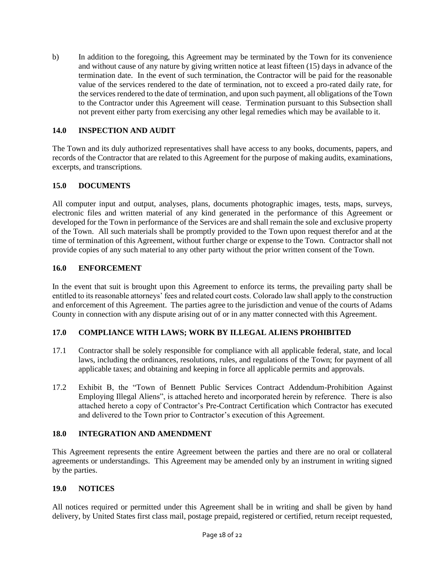b) In addition to the foregoing, this Agreement may be terminated by the Town for its convenience and without cause of any nature by giving written notice at least fifteen (15) days in advance of the termination date. In the event of such termination, the Contractor will be paid for the reasonable value of the services rendered to the date of termination, not to exceed a pro-rated daily rate, for the services rendered to the date of termination, and upon such payment, all obligations of the Town to the Contractor under this Agreement will cease. Termination pursuant to this Subsection shall not prevent either party from exercising any other legal remedies which may be available to it.

# **14.0 INSPECTION AND AUDIT**

The Town and its duly authorized representatives shall have access to any books, documents, papers, and records of the Contractor that are related to this Agreement for the purpose of making audits, examinations, excerpts, and transcriptions.

# **15.0 DOCUMENTS**

All computer input and output, analyses, plans, documents photographic images, tests, maps, surveys, electronic files and written material of any kind generated in the performance of this Agreement or developed for the Town in performance of the Services are and shall remain the sole and exclusive property of the Town. All such materials shall be promptly provided to the Town upon request therefor and at the time of termination of this Agreement, without further charge or expense to the Town. Contractor shall not provide copies of any such material to any other party without the prior written consent of the Town.

# **16.0 ENFORCEMENT**

In the event that suit is brought upon this Agreement to enforce its terms, the prevailing party shall be entitled to its reasonable attorneys' fees and related court costs. Colorado law shall apply to the construction and enforcement of this Agreement. The parties agree to the jurisdiction and venue of the courts of Adams County in connection with any dispute arising out of or in any matter connected with this Agreement.

# **17.0 COMPLIANCE WITH LAWS; WORK BY ILLEGAL ALIENS PROHIBITED**

- 17.1 Contractor shall be solely responsible for compliance with all applicable federal, state, and local laws, including the ordinances, resolutions, rules, and regulations of the Town; for payment of all applicable taxes; and obtaining and keeping in force all applicable permits and approvals.
- 17.2 Exhibit B, the "Town of Bennett Public Services Contract Addendum-Prohibition Against Employing Illegal Aliens", is attached hereto and incorporated herein by reference. There is also attached hereto a copy of Contractor's Pre-Contract Certification which Contractor has executed and delivered to the Town prior to Contractor's execution of this Agreement.

# **18.0 INTEGRATION AND AMENDMENT**

This Agreement represents the entire Agreement between the parties and there are no oral or collateral agreements or understandings. This Agreement may be amended only by an instrument in writing signed by the parties.

#### **19.0 NOTICES**

All notices required or permitted under this Agreement shall be in writing and shall be given by hand delivery, by United States first class mail, postage prepaid, registered or certified, return receipt requested,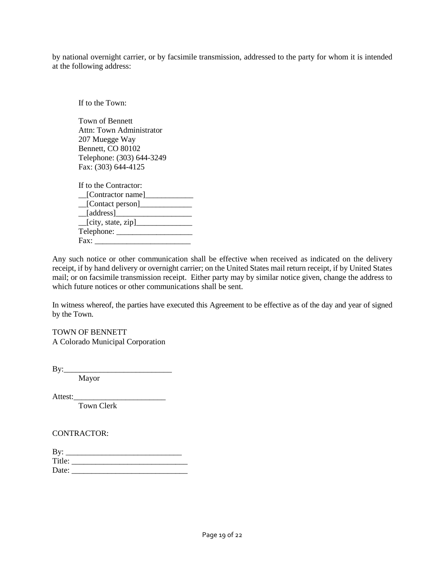by national overnight carrier, or by facsimile transmission, addressed to the party for whom it is intended at the following address:

If to the Town: Town of Bennett Attn: Town Administrator 207 Muegge Way Bennett, CO 80102 Telephone: (303) 644-3249 Fax: (303) 644-4125 If to the Contractor:  $\Box$ [Contractor name] $\Box$  $\Box$ [Contact person]  $\boxed{\phantom{\qquad}[\text{address}]}\qquad \qquad \phantom{\qquad \qquad}$ \_\_[city, state, zip]\_\_\_\_\_\_\_\_\_\_\_\_\_\_ Telephone: \_\_\_\_\_\_\_\_\_\_\_\_\_\_\_\_\_\_\_ Fax: \_\_\_\_\_\_\_\_\_\_\_\_\_\_\_\_\_\_\_\_\_\_\_\_

Any such notice or other communication shall be effective when received as indicated on the delivery receipt, if by hand delivery or overnight carrier; on the United States mail return receipt, if by United States mail; or on facsimile transmission receipt. Either party may by similar notice given, change the address to which future notices or other communications shall be sent.

In witness whereof, the parties have executed this Agreement to be effective as of the day and year of signed by the Town.

TOWN OF BENNETT A Colorado Municipal Corporation

 $By:$ 

Mayor

Attest:\_\_\_\_\_\_\_\_\_\_\_\_\_\_\_\_\_\_\_\_\_\_\_

Town Clerk

CONTRACTOR:

| By:    |  |
|--------|--|
| Title: |  |
| Date:  |  |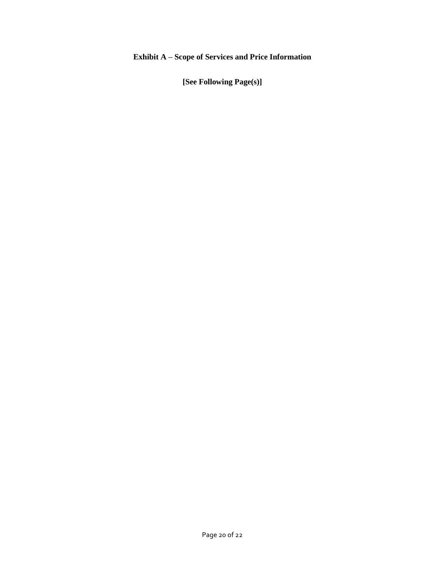# **Exhibit A – Scope of Services and Price Information**

**[See Following Page(s)]**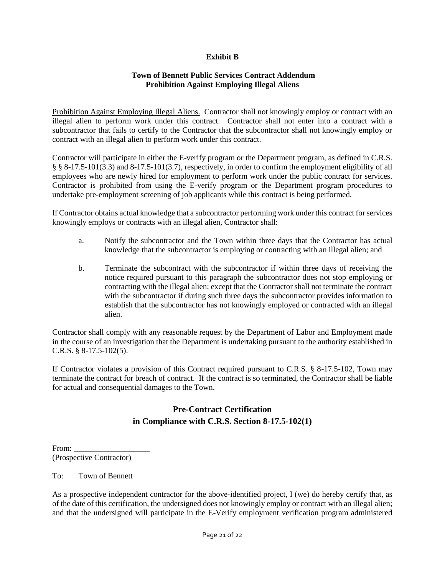# **Exhibit B**

#### **Town of Bennett Public Services Contract Addendum Prohibition Against Employing Illegal Aliens**

Prohibition Against Employing Illegal Aliens. Contractor shall not knowingly employ or contract with an illegal alien to perform work under this contract. Contractor shall not enter into a contract with a subcontractor that fails to certify to the Contractor that the subcontractor shall not knowingly employ or contract with an illegal alien to perform work under this contract.

Contractor will participate in either the E-verify program or the Department program, as defined in C.R.S. § § 8-17.5-101(3.3) and 8-17.5-101(3.7), respectively, in order to confirm the employment eligibility of all employees who are newly hired for employment to perform work under the public contract for services. Contractor is prohibited from using the E-verify program or the Department program procedures to undertake pre-employment screening of job applicants while this contract is being performed.

If Contractor obtains actual knowledge that a subcontractor performing work under this contract for services knowingly employs or contracts with an illegal alien, Contractor shall:

- a. Notify the subcontractor and the Town within three days that the Contractor has actual knowledge that the subcontractor is employing or contracting with an illegal alien; and
- b. Terminate the subcontract with the subcontractor if within three days of receiving the notice required pursuant to this paragraph the subcontractor does not stop employing or contracting with the illegal alien; except that the Contractor shall not terminate the contract with the subcontractor if during such three days the subcontractor provides information to establish that the subcontractor has not knowingly employed or contracted with an illegal alien.

Contractor shall comply with any reasonable request by the Department of Labor and Employment made in the course of an investigation that the Department is undertaking pursuant to the authority established in C.R.S. § 8-17.5-102(5).

If Contractor violates a provision of this Contract required pursuant to C.R.S. § 8-17.5-102, Town may terminate the contract for breach of contract. If the contract is so terminated, the Contractor shall be liable for actual and consequential damages to the Town.

# **Pre-Contract Certification in Compliance with C.R.S. Section 8-17.5-102(1)**

| From: |                          |  |
|-------|--------------------------|--|
|       | (Prospective Contractor) |  |

To: Town of Bennett

As a prospective independent contractor for the above-identified project, I (we) do hereby certify that, as of the date of this certification, the undersigned does not knowingly employ or contract with an illegal alien; and that the undersigned will participate in the E-Verify employment verification program administered